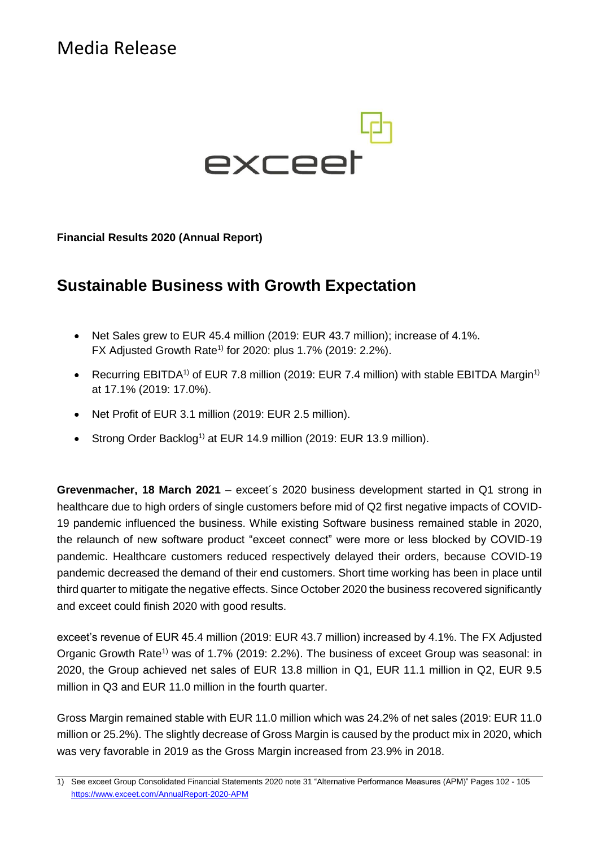Media Release



**Financial Results 2020 (Annual Report)**

# **Sustainable Business with Growth Expectation**

- Net Sales grew to EUR 45.4 million (2019: EUR 43.7 million); increase of 4.1%. FX Adjusted Growth Rate<sup>1)</sup> for 2020: plus 1.7% (2019: 2.2%).
- Recurring EBITDA<sup>1)</sup> of EUR 7.8 million (2019: EUR 7.4 million) with stable EBITDA Margin<sup>1)</sup> at 17.1% (2019: 17.0%).
- Net Profit of EUR 3.1 million (2019: EUR 2.5 million).
- Strong Order Backlog<sup>1)</sup> at EUR 14.9 million (2019: EUR 13.9 million).

**Grevenmacher, 18 March 2021** – exceet´s 2020 business development started in Q1 strong in healthcare due to high orders of single customers before mid of Q2 first negative impacts of COVID-19 pandemic influenced the business. While existing Software business remained stable in 2020, the relaunch of new software product "exceet connect" were more or less blocked by COVID-19 pandemic. Healthcare customers reduced respectively delayed their orders, because COVID-19 pandemic decreased the demand of their end customers. Short time working has been in place until third quarter to mitigate the negative effects. Since October 2020 the business recovered significantly and exceet could finish 2020 with good results.

exceet's revenue of EUR 45.4 million (2019: EUR 43.7 million) increased by 4.1%. The FX Adjusted Organic Growth Rate<sup>1)</sup> was of 1.7% (2019: 2.2%). The business of exceet Group was seasonal: in 2020, the Group achieved net sales of EUR 13.8 million in Q1, EUR 11.1 million in Q2, EUR 9.5 million in Q3 and EUR 11.0 million in the fourth quarter.

Gross Margin remained stable with EUR 11.0 million which was 24.2% of net sales (2019: EUR 11.0 million or 25.2%). The slightly decrease of Gross Margin is caused by the product mix in 2020, which was very favorable in 2019 as the Gross Margin increased from 23.9% in 2018.

<sup>1)</sup> See exceet Group Consolidated Financial Statements 2020 note 31 "Alternative Performance Measures (APM)" Pages 102 - 105 [https://www.exceet.com/A](https://www.exceet.com/AnnualReport-2018-APM)nnualReport-2020-APM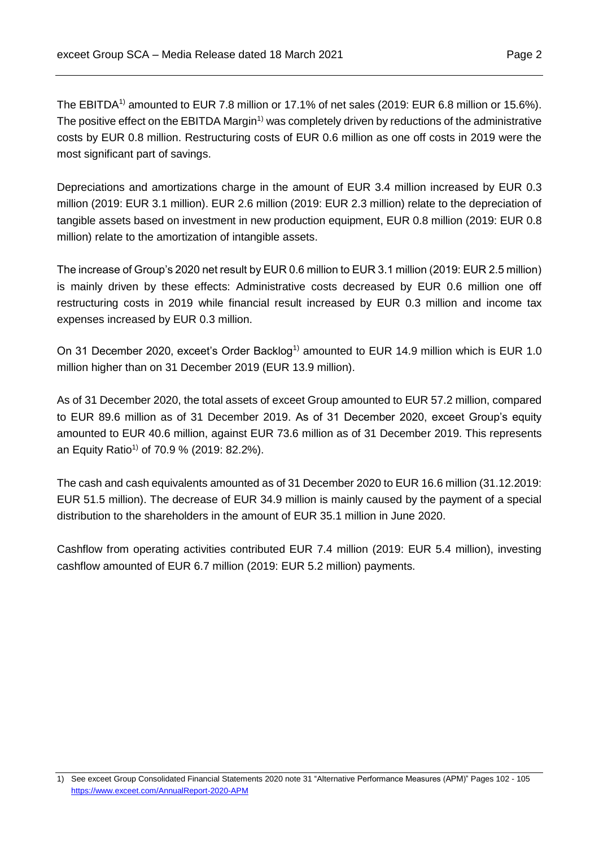The EBITDA<sup>1)</sup> amounted to EUR 7.8 million or 17.1% of net sales (2019: EUR 6.8 million or 15.6%). The positive effect on the EBITDA Margin<sup>1)</sup> was completely driven by reductions of the administrative costs by EUR 0.8 million. Restructuring costs of EUR 0.6 million as one off costs in 2019 were the most significant part of savings.

Depreciations and amortizations charge in the amount of EUR 3.4 million increased by EUR 0.3 million (2019: EUR 3.1 million). EUR 2.6 million (2019: EUR 2.3 million) relate to the depreciation of tangible assets based on investment in new production equipment, EUR 0.8 million (2019: EUR 0.8 million) relate to the amortization of intangible assets.

The increase of Group's 2020 net result by EUR 0.6 million to EUR 3.1 million (2019: EUR 2.5 million) is mainly driven by these effects: Administrative costs decreased by EUR 0.6 million one off restructuring costs in 2019 while financial result increased by EUR 0.3 million and income tax expenses increased by EUR 0.3 million.

On 31 December 2020, exceet's Order Backlog<sup>1)</sup> amounted to EUR 14.9 million which is EUR 1.0 million higher than on 31 December 2019 (EUR 13.9 million).

As of 31 December 2020, the total assets of exceet Group amounted to EUR 57.2 million, compared to EUR 89.6 million as of 31 December 2019. As of 31 December 2020, exceet Group's equity amounted to EUR 40.6 million, against EUR 73.6 million as of 31 December 2019. This represents an Equity Ratio<sup>1)</sup> of 70.9 % (2019: 82.2%).

The cash and cash equivalents amounted as of 31 December 2020 to EUR 16.6 million (31.12.2019: EUR 51.5 million). The decrease of EUR 34.9 million is mainly caused by the payment of a special distribution to the shareholders in the amount of EUR 35.1 million in June 2020.

Cashflow from operating activities contributed EUR 7.4 million (2019: EUR 5.4 million), investing cashflow amounted of EUR 6.7 million (2019: EUR 5.2 million) payments.

<sup>1)</sup> See exceet Group Consolidated Financial Statements 2020 note 31 "Alternative Performance Measures (APM)" Pages 102 - 105 [https://www.exceet.com/A](https://www.exceet.com/AnnualReport-2018-APM)nnualReport-2020-APM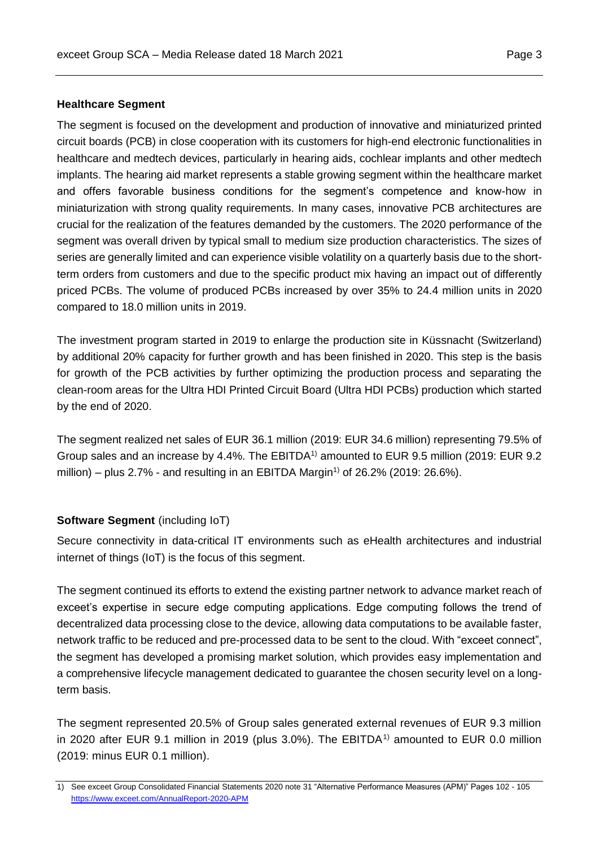#### **Healthcare Segment**

The segment is focused on the development and production of innovative and miniaturized printed circuit boards (PCB) in close cooperation with its customers for high-end electronic functionalities in healthcare and medtech devices, particularly in hearing aids, cochlear implants and other medtech implants. The hearing aid market represents a stable growing segment within the healthcare market and offers favorable business conditions for the segment's competence and know-how in miniaturization with strong quality requirements. In many cases, innovative PCB architectures are crucial for the realization of the features demanded by the customers. The 2020 performance of the segment was overall driven by typical small to medium size production characteristics. The sizes of series are generally limited and can experience visible volatility on a quarterly basis due to the shortterm orders from customers and due to the specific product mix having an impact out of differently priced PCBs. The volume of produced PCBs increased by over 35% to 24.4 million units in 2020 compared to 18.0 million units in 2019.

The investment program started in 2019 to enlarge the production site in Küssnacht (Switzerland) by additional 20% capacity for further growth and has been finished in 2020. This step is the basis for growth of the PCB activities by further optimizing the production process and separating the clean-room areas for the Ultra HDI Printed Circuit Board (Ultra HDI PCBs) production which started by the end of 2020.

The segment realized net sales of EUR 36.1 million (2019: EUR 34.6 million) representing 79.5% of Group sales and an increase by 4.4%. The EBITDA<sup>1)</sup> amounted to EUR 9.5 million (2019: EUR 9.2 million) – plus 2.7% - and resulting in an EBITDA Margin<sup>1)</sup> of 26.2% (2019: 26.6%).

# **Software Segment** (including IoT)

Secure connectivity in data-critical IT environments such as eHealth architectures and industrial internet of things (IoT) is the focus of this segment.

The segment continued its efforts to extend the existing partner network to advance market reach of exceet's expertise in secure edge computing applications. Edge computing follows the trend of decentralized data processing close to the device, allowing data computations to be available faster, network traffic to be reduced and pre-processed data to be sent to the cloud. With "exceet connect", the segment has developed a promising market solution, which provides easy implementation and a comprehensive lifecycle management dedicated to guarantee the chosen security level on a longterm basis.

The segment represented 20.5% of Group sales generated external revenues of EUR 9.3 million in 2020 after EUR 9.1 million in 2019 (plus 3.0%). The EBITDA<sup>1)</sup> amounted to EUR 0.0 million (2019: minus EUR 0.1 million).

<sup>1)</sup> See exceet Group Consolidated Financial Statements 2020 note 31 "Alternative Performance Measures (APM)" Pages 102 - 105 [https://www.exceet.com/A](https://www.exceet.com/AnnualReport-2018-APM)nnualReport-2020-APM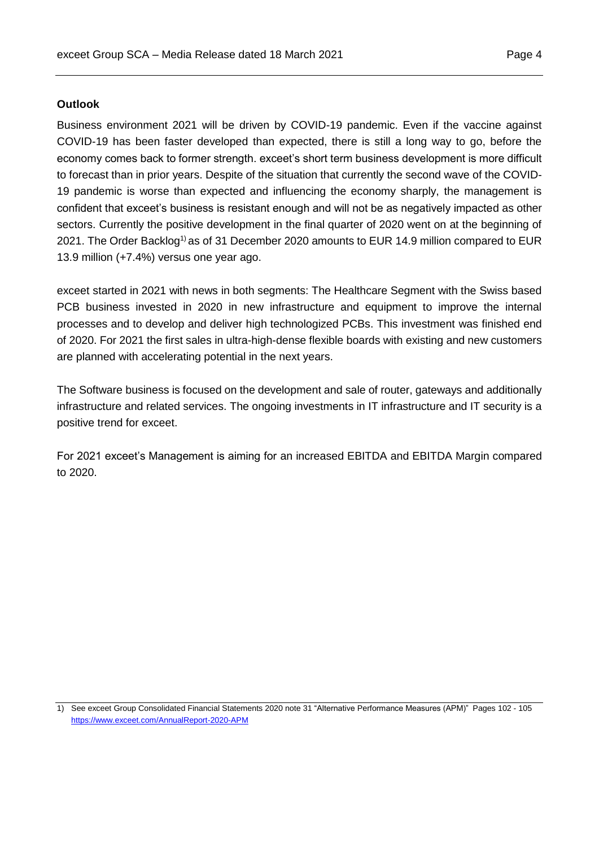# **Outlook**

Business environment 2021 will be driven by COVID-19 pandemic. Even if the vaccine against COVID-19 has been faster developed than expected, there is still a long way to go, before the economy comes back to former strength. exceet's short term business development is more difficult to forecast than in prior years. Despite of the situation that currently the second wave of the COVID-19 pandemic is worse than expected and influencing the economy sharply, the management is confident that exceet's business is resistant enough and will not be as negatively impacted as other sectors. Currently the positive development in the final quarter of 2020 went on at the beginning of 2021. The Order Backlog<sup>1)</sup> as of 31 December 2020 amounts to EUR 14.9 million compared to EUR 13.9 million (+7.4%) versus one year ago.

exceet started in 2021 with news in both segments: The Healthcare Segment with the Swiss based PCB business invested in 2020 in new infrastructure and equipment to improve the internal processes and to develop and deliver high technologized PCBs. This investment was finished end of 2020. For 2021 the first sales in ultra-high-dense flexible boards with existing and new customers are planned with accelerating potential in the next years.

The Software business is focused on the development and sale of router, gateways and additionally infrastructure and related services. The ongoing investments in IT infrastructure and IT security is a positive trend for exceet.

For 2021 exceet's Management is aiming for an increased EBITDA and EBITDA Margin compared to 2020.

<sup>1)</sup> See exceet Group Consolidated Financial Statements 2020 note 31 "Alternative Performance Measures (APM)" Pages 102 - 105 [https://www.exceet.com/A](https://www.exceet.com/AnnualReport-2018-APM)nnualReport-2020-APM